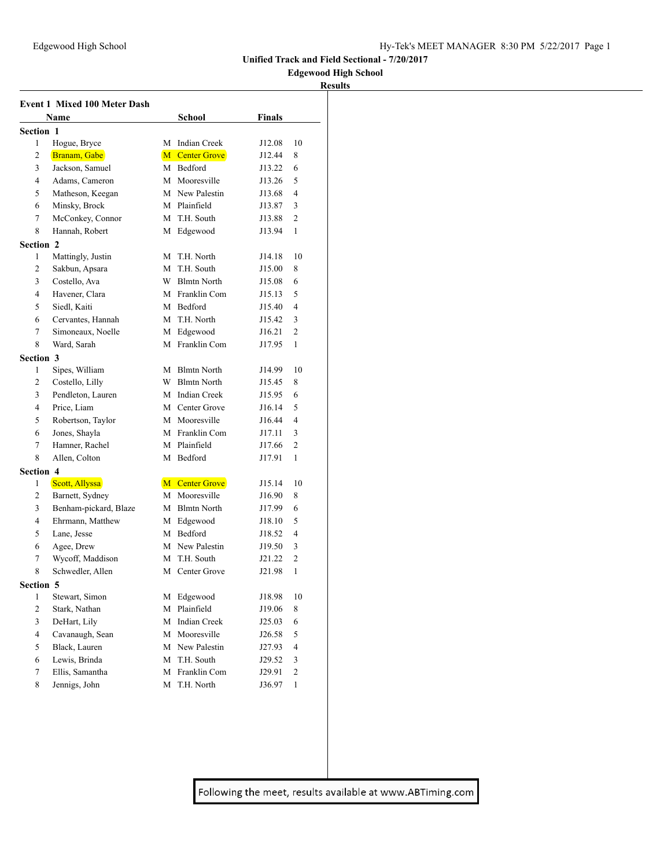## **Edgewood High School**

### **Results**

|                         | <b>Event 1 Mixed 100 Meter Dash</b> |        |                            |               |                |  |  |  |
|-------------------------|-------------------------------------|--------|----------------------------|---------------|----------------|--|--|--|
|                         | Name                                |        | <b>School</b>              | <b>Finals</b> |                |  |  |  |
| Section 1               |                                     |        |                            |               |                |  |  |  |
| 1                       | Hogue, Bryce                        |        | M Indian Creek             | J12.08        | 10             |  |  |  |
| 2                       | Branam, Gabe                        |        | <b>M</b> Center Grove      | J12.44        | 8              |  |  |  |
| 3                       | Jackson, Samuel                     |        | M Bedford                  | J13.22        | 6              |  |  |  |
| 4                       | Adams, Cameron                      |        | M Mooresville              | J13.26        | 5              |  |  |  |
| 5                       | Matheson, Keegan                    |        | M New Palestin             | J13.68        | 4              |  |  |  |
| 6                       | Minsky, Brock                       |        | M Plainfield               | J13.87        | 3              |  |  |  |
| 7                       | McConkey, Connor                    |        | M T.H. South               | J13.88        | 2              |  |  |  |
| 8                       | Hannah, Robert                      |        | M Edgewood                 | J13.94        | $\mathbf{1}$   |  |  |  |
| <b>Section 2</b>        |                                     |        |                            |               |                |  |  |  |
| 1                       | Mattingly, Justin                   | М      | T.H. North                 | J14.18        | 10             |  |  |  |
| $\overline{c}$          | Sakbun, Apsara                      | М      | T.H. South                 | J15.00        | 8              |  |  |  |
| 3                       | Costello, Ava                       | W      | <b>Blmtn North</b>         | J15.08        | 6              |  |  |  |
| 4                       | Havener, Clara                      |        | M Franklin Com             | J15.13        | 5              |  |  |  |
| 5                       | Siedl, Kaiti                        |        | M Bedford                  | J15.40        | 4              |  |  |  |
| 6                       | Cervantes, Hannah                   |        | M T.H. North               | J15.42        | 3              |  |  |  |
| 7                       | Simoneaux, Noelle                   | M      | Edgewood                   | J16.21        | $\overline{c}$ |  |  |  |
| 8                       | Ward, Sarah                         | M      | Franklin Com               | J17.95        | 1              |  |  |  |
| <b>Section 3</b>        |                                     |        |                            |               |                |  |  |  |
| 1                       | Sipes, William                      |        | M Blmtn North              | J14.99        | 10             |  |  |  |
| 2                       | Costello, Lilly                     | W      | <b>Blmtn North</b>         | J15.45        | 8              |  |  |  |
| 3                       | Pendleton, Lauren                   | M      | <b>Indian Creek</b>        | J15.95        | 6              |  |  |  |
| 4                       | Price, Liam                         | M      | Center Grove               | J16.14        | 5              |  |  |  |
| 5                       | Robertson, Taylor                   |        | M Mooresville              | J16.44        | 4              |  |  |  |
| 6                       | Jones, Shayla                       |        | M Franklin Com             | J17.11        | 3              |  |  |  |
| 7                       | Hamner, Rachel                      |        | M Plainfield               | J17.66        | 2              |  |  |  |
| 8                       | Allen, Colton                       | М      | Bedford                    | J17.91        | $\mathbf{1}$   |  |  |  |
| <b>Section 4</b>        |                                     |        |                            |               |                |  |  |  |
| 1                       | Scott, Allyssa                      |        | M Center Grove             | J15.14        | 10             |  |  |  |
| 2                       | Barnett, Sydney                     |        | M Mooresville              | J16.90        | 8              |  |  |  |
| 3                       | Benham-pickard, Blaze               |        | M Blmtn North              | J17.99        | 6              |  |  |  |
| 4                       | Ehrmann, Matthew                    | M      | Edgewood                   | J18.10        | 5              |  |  |  |
| 5                       | Lane, Jesse                         |        | M Bedford                  | J18.52        | 4              |  |  |  |
| 6                       | Agee, Drew                          |        | M New Palestin             | J19.50        | 3              |  |  |  |
| 7                       | Wycoff, Maddison                    | М      | T.H. South                 | J21.22        | 2              |  |  |  |
| 8                       | Schwedler, Allen                    | M      | Center Grove               | J21.98        | 1              |  |  |  |
|                         |                                     |        |                            |               |                |  |  |  |
| Section 5<br>1          | Stewart, Simon                      | М      | Edgewood                   | J18.98        | 10             |  |  |  |
| $\overline{c}$          | Stark, Nathan                       | М      | Plainfield                 | J19.06        | 8              |  |  |  |
| 3                       | DeHart, Lily                        | М      | Indian Creek               | J25.03        | 6              |  |  |  |
| $\overline{\mathbf{4}}$ | Cavanaugh, Sean                     | M      | Mooresville                | J26.58        | 5              |  |  |  |
| 5                       | Black, Lauren                       |        | M New Palestin             | J27.93        | $\overline{4}$ |  |  |  |
| 6                       | Lewis, Brinda                       | M      | T.H. South                 | J29.52        | 3              |  |  |  |
| $\tau$                  | Ellis, Samantha                     |        |                            |               | $\mathfrak{2}$ |  |  |  |
| 8                       | Jennigs, John                       | M<br>М | Franklin Com<br>T.H. North | J29.91        | $\mathbf{1}$   |  |  |  |
|                         |                                     |        |                            | J36.97        |                |  |  |  |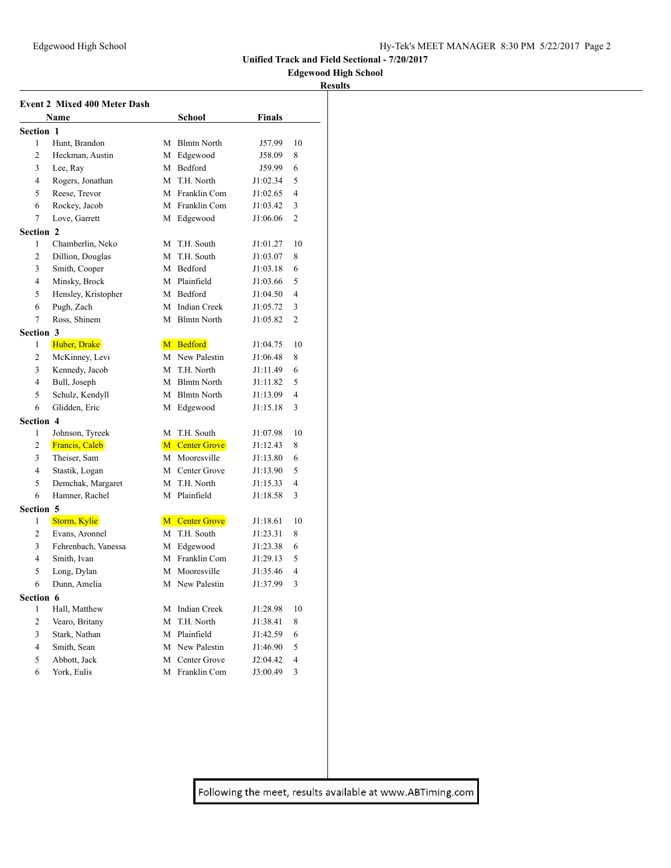## **Edgewood High School**

### **Results**

|                         | <b>Event 2 Mixed 400 Meter Dash</b> |   |                     |          |                |
|-------------------------|-------------------------------------|---|---------------------|----------|----------------|
|                         | Name                                |   | <b>School</b>       | Finals   |                |
| Section 1               |                                     |   |                     |          |                |
| 1                       | Hunt, Brandon                       | M | <b>Blmtn North</b>  | J57.99   | 10             |
| 2                       | Heckman, Austin                     | М | Edgewood            | J58.09   | 8              |
| 3                       | Lee, Ray                            |   | M Bedford           | J59.99   | 6              |
| 4                       | Rogers, Jonathan                    |   | M T.H. North        | J1:02.34 | 5              |
| 5                       | Reese, Trevor                       |   | M Franklin Com      | J1:02.65 | 4              |
| 6                       | Rockey, Jacob                       |   | M Franklin Com      | J1:03.42 | 3              |
| 7                       | Love, Garrett                       |   | M Edgewood          | J1:06.06 | $\overline{c}$ |
| Section 2               |                                     |   |                     |          |                |
| 1                       | Chamberlin, Neko                    | M | T.H. South          | J1:01.27 | 10             |
| 2                       | Dillion, Douglas                    | М | T.H. South          | J1:03.07 | 8              |
| 3                       | Smith, Cooper                       | М | Bedford             | J1:03.18 | 6              |
| 4                       | Minsky, Brock                       | М | Plainfield          | J1:03.66 | 5              |
| 5                       | Hensley, Kristopher                 | М | Bedford             | J1:04.50 | 4              |
| 6                       | Pugh, Zach                          | M | <b>Indian Creek</b> | J1:05.72 | 3              |
| 7                       | Ross, Shinem                        |   | M Blmtn North       | J1:05.82 | $\overline{c}$ |
| Section 3               |                                     |   |                     |          |                |
| 1                       | Huber, Drake                        |   | M Bedford           | J1:04.75 | 10             |
| 2                       | McKinney, Levi                      |   | M New Palestin      | J1:06.48 | 8              |
| 3                       | Kennedy, Jacob                      | М | T.H. North          | J1:11.49 | 6              |
| 4                       | Bull, Joseph                        | M | <b>Blmtn North</b>  | J1:11.82 | 5              |
| 5                       | Schulz, Kendyll                     | M | <b>Blmtn North</b>  | J1:13.09 | 4              |
| 6                       | Glidden, Eric                       | М | Edgewood            | J1:15.18 | 3              |
| <b>Section 4</b>        |                                     |   |                     |          |                |
| 1                       | Johnson, Tyreek                     | М | T.H. South          | J1:07.98 | 10             |
| 2                       | Francis, Caleb                      |   | M Center Grove      | J1:12.43 | 8              |
| 3                       | Theiser, Sam                        |   | M Mooresville       | J1:13.80 | 6              |
| 4                       | Stastik, Logan                      |   | M Center Grove      | J1:13.90 | 5              |
| 5                       | Demchak, Margaret                   |   | M T.H. North        | J1:15.33 | 4              |
| 6                       | Hamner, Rachel                      | М | Plainfield          | J1:18.58 | 3              |
| <b>Section 5</b>        |                                     |   |                     |          |                |
| 1                       | Storm, Kylie                        |   | M Center Grove      | J1:18.61 | 10             |
| 2                       | Evans, Aronnel                      | M | T.H. South          | J1:23.31 | 8              |
| 3                       | Fehrenbach, Vanessa                 | М | Edgewood            | J1:23.38 | 6              |
| $\overline{4}$          | Smith, Ivan                         | М | Franklin Com        | J1:29.13 | 5              |
| 5                       | Long, Dylan                         | М | Mooresville         | J1:35.46 | 4              |
| 6                       | Dunn, Amelia                        | М | New Palestin        | J1:37.99 | 3              |
| Section 6               |                                     |   |                     |          |                |
| 1                       | Hall, Matthew                       | М | <b>Indian Creek</b> | J1:28.98 | 10             |
| $\overline{c}$          | Vearo, Britany                      | M | T.H. North          | J1:38.41 | 8              |
| 3                       | Stark, Nathan                       | М | Plainfield          | J1:42.59 | 6              |
| $\overline{\mathbf{4}}$ | Smith, Sean                         | М | New Palestin        | J1:46.90 | 5              |
| 5                       | Abbott, Jack                        | М | Center Grove        | J2:04.42 | 4              |
| 6                       | York, Eulis                         | М | Franklin Com        | J3:00.49 | 3              |
|                         |                                     |   |                     |          |                |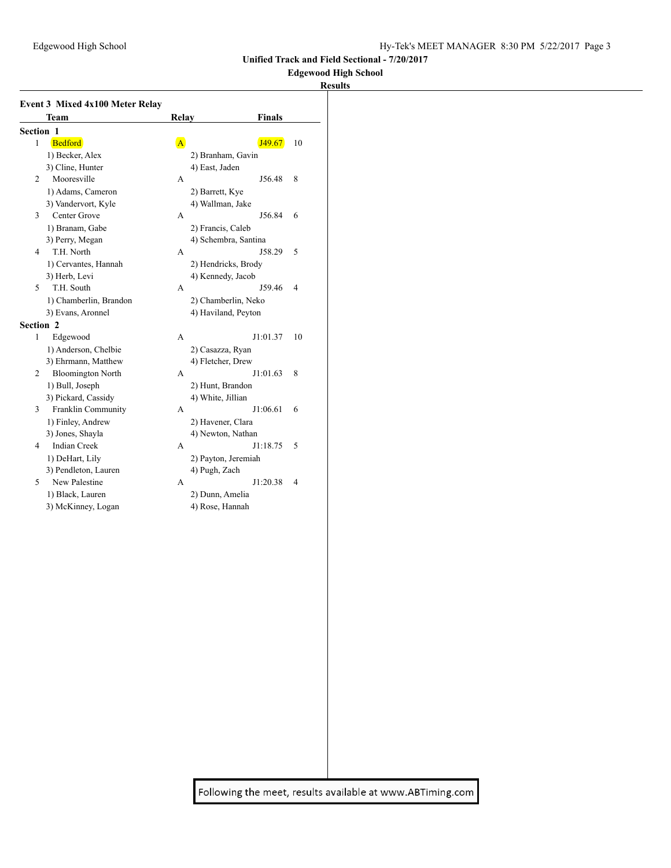## **Edgewood High School**

# **Results**

|           | <b>Event 3 Mixed 4x100 Meter Relay</b> |                      |                          |
|-----------|----------------------------------------|----------------------|--------------------------|
|           | <b>Team</b>                            | Relay                | <b>Finals</b>            |
| Section 1 |                                        |                      |                          |
| 1         | Bedford                                | $\mathbf{A}$         | J49.67<br>10             |
|           | 1) Becker, Alex                        | 2) Branham, Gavin    |                          |
|           | 3) Cline, Hunter                       | 4) East, Jaden       |                          |
| 2         | Mooresville                            | A                    | J56.48<br>8              |
|           | 1) Adams, Cameron                      | 2) Barrett, Kye      |                          |
|           | 3) Vandervort, Kyle                    | 4) Wallman, Jake     |                          |
| 3         | Center Grove                           | А                    | J56.84<br>6              |
|           | 1) Branam, Gabe                        | 2) Francis, Caleb    |                          |
|           | 3) Perry, Megan                        | 4) Schembra, Santina |                          |
| 4         | T.H. North                             | A                    | J58.29<br>5              |
|           | 1) Cervantes, Hannah                   | 2) Hendricks, Brody  |                          |
|           | 3) Herb, Levi                          | 4) Kennedy, Jacob    |                          |
| 5         | T.H. South                             | A                    | J59.46<br>$\overline{4}$ |
|           | 1) Chamberlin, Brandon                 | 2) Chamberlin, Neko  |                          |
|           | 3) Evans, Aronnel                      | 4) Haviland, Peyton  |                          |
| Section 2 |                                        |                      |                          |
| 1         | Edgewood                               | A                    | J1:01.37<br>10           |
|           | 1) Anderson, Chelbie                   | 2) Casazza, Ryan     |                          |
|           | 3) Ehrmann, Matthew                    | 4) Fletcher, Drew    |                          |
| 2         | <b>Bloomington North</b>               | A                    | J1:01.63<br>8            |
|           | 1) Bull, Joseph                        | 2) Hunt, Brandon     |                          |
|           | 3) Pickard, Cassidy                    | 4) White, Jillian    |                          |
| 3         | Franklin Community                     | A                    | J1:06.61<br>6            |
|           | 1) Finley, Andrew                      | 2) Havener, Clara    |                          |
|           | 3) Jones, Shayla                       | 4) Newton, Nathan    |                          |
| 4         | <b>Indian Creek</b>                    | A                    | J1:18.75<br>5            |
|           | 1) DeHart, Lily                        | 2) Payton, Jeremiah  |                          |
|           | 3) Pendleton, Lauren                   | 4) Pugh, Zach        |                          |
| 5         | New Palestine                          | A                    | J1:20.38<br>4            |
|           | 1) Black, Lauren                       | 2) Dunn, Amelia      |                          |
|           | 3) McKinney, Logan                     | 4) Rose, Hannah      |                          |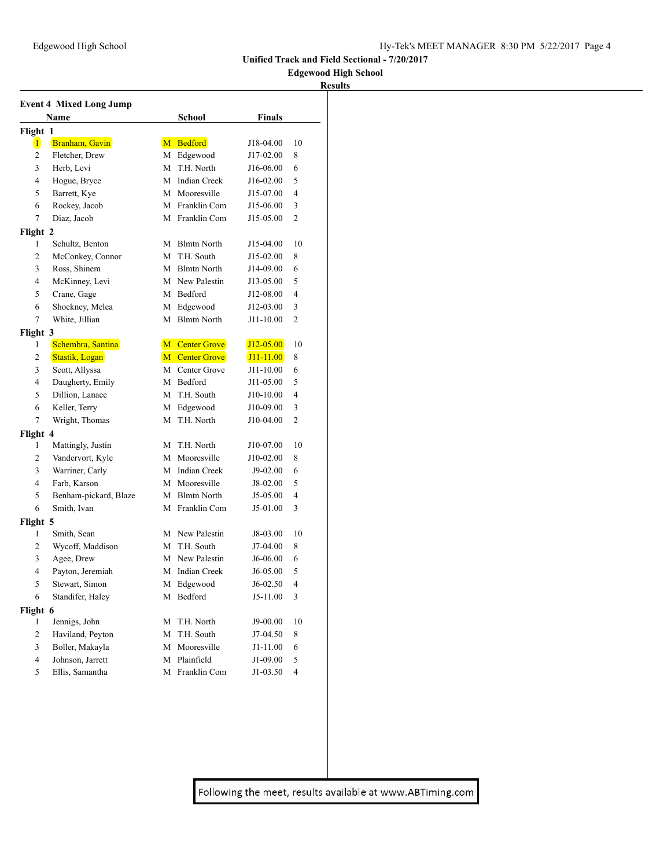## **Edgewood High School**

### **Results**

|                          | <b>Event 4 Mixed Long Jump</b> |   |                     |               |                          |
|--------------------------|--------------------------------|---|---------------------|---------------|--------------------------|
|                          | Name                           |   | <b>School</b>       | <b>Finals</b> |                          |
| Flight 1                 |                                |   |                     |               |                          |
| $\vert$                  | Branham, Gavin                 |   | M Bedford           | J18-04.00     | 10                       |
| $\mathfrak{2}$           | Fletcher, Drew                 | М | Edgewood            | J17-02.00     | 8                        |
| 3                        | Herb, Levi                     | М | T.H. North          | J16-06.00     | 6                        |
| 4                        | Hogue, Bryce                   | М | <b>Indian Creek</b> | J16-02.00     | 5                        |
| 5                        | Barrett, Kye                   | M | Mooresville         | J15-07.00     | 4                        |
| 6                        | Rockey, Jacob                  | М | Franklin Com        | J15-06.00     | 3                        |
| 7                        | Diaz, Jacob                    | М | Franklin Com        | J15-05.00     | 2                        |
| Flight 2                 |                                |   |                     |               |                          |
| 1                        | Schultz, Benton                |   | M Blmtn North       | J15-04.00     | 10                       |
| 2                        | McConkey, Connor               | М | T.H. South          | J15-02.00     | 8                        |
| 3                        | Ross, Shinem                   |   | M Blmtn North       | J14-09.00     | 6                        |
| 4                        | McKinney, Levi                 |   | M New Palestin      | J13-05.00     | 5                        |
| 5                        | Crane, Gage                    |   | M Bedford           | J12-08.00     | 4                        |
| 6                        | Shockney, Melea                | М | Edgewood            | J12-03.00     | 3                        |
| 7                        | White, Jillian                 | М | <b>Blmtn North</b>  | J11-10.00     | $\mathfrak{2}$           |
| Flight 3                 |                                |   |                     |               |                          |
| 1                        | Schembra, Santina              |   | M Center Grove      | $J12 - 05.00$ | 10                       |
| 2                        | Stastik, Logan                 |   | M Center Grove      | $J11 - 11.00$ | 8                        |
| 3                        | Scott, Allyssa                 |   | M Center Grove      | J11-10.00     | 6                        |
| 4                        | Daugherty, Emily               | М | Bedford             | J11-05.00     | 5                        |
| 5                        | Dillion, Lanaee                | M | T.H. South          | J10-10.00     | $\overline{4}$           |
| 6                        | Keller, Terry                  | М | Edgewood            | J10-09.00     | 3                        |
| 7                        | Wright, Thomas                 | М | T.H. North          | J10-04.00     | 2                        |
| Flight 4                 |                                |   |                     |               |                          |
| 1                        | Mattingly, Justin              | М | T.H. North          | J10-07.00     | 10                       |
| $\mathfrak{2}$           | Vandervort, Kyle               | М | Mooresville         | J10-02.00     | 8                        |
| 3                        | Warriner, Carly                | М | Indian Creek        | J9-02.00      | 6                        |
| 4                        | Farb, Karson                   | M | Mooresville         | J8-02.00      | 5                        |
| 5                        | Benham-pickard, Blaze          | M | <b>Blmtn North</b>  | J5-05.00      | 4                        |
| 6                        | Smith, Ivan                    | M | Franklin Com        | J5-01.00      | 3                        |
| Flight 5                 |                                |   |                     |               |                          |
| 1                        | Smith, Sean                    |   | M New Palestin      | J8-03.00      | 10                       |
| 2                        | Wycoff, Maddison               | М | T.H. South          | J7-04.00      | 8                        |
| 3                        | Agee, Drew                     |   | M New Palestin      | J6-06.00      | 6                        |
| 4                        | Payton, Jeremiah               |   | M Indian Creek      | J6-05.00      | 5                        |
| 5                        | Stewart, Simon                 |   | M Edgewood          | $J6-02.50$    | $\overline{\mathcal{L}}$ |
| 6                        | Standifer, Haley               |   | M Bedford           | J5-11.00      | 3                        |
| Flight 6                 |                                |   |                     |               |                          |
| 1                        | Jennigs, John                  | М | T.H. North          | J9-00.00      | 10                       |
| $\mathfrak{2}$           | Haviland, Peyton               | М | T.H. South          | $J7-04.50$    | 8                        |
| 3                        | Boller, Makayla                | М | Mooresville         | $J1-11.00$    | 6                        |
| $\overline{\mathcal{L}}$ | Johnson, Jarrett               | М | Plainfield          | J1-09.00      | 5                        |
| 5                        | Ellis, Samantha                | М | Franklin Com        | $J1-03.50$    | $\overline{\mathcal{L}}$ |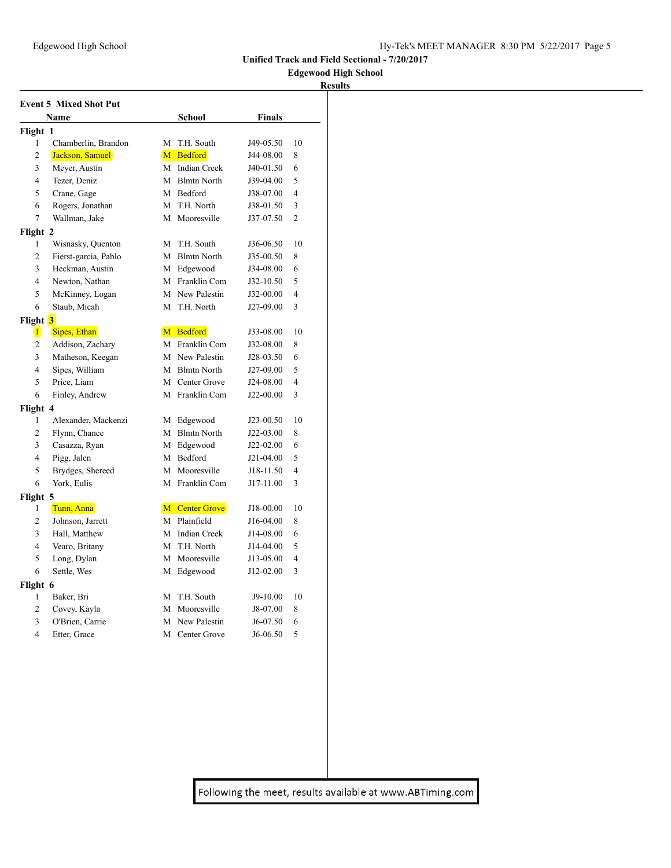## **Edgewood High School**

### **Results**

|                         | <b>Event 5 Mixed Shot Put</b> |   |                |               |                |
|-------------------------|-------------------------------|---|----------------|---------------|----------------|
|                         | Name                          |   | <b>School</b>  | <b>Finals</b> |                |
| Flight 1                |                               |   |                |               |                |
| 1                       | Chamberlin, Brandon           |   | M T.H. South   | J49-05.50     | 10             |
| $\overline{2}$          | Jackson, Samuel               |   | M Bedford      | J44-08.00     | 8              |
| 3                       | Meyer, Austin                 |   | M Indian Creek | J40-01.50     | 6              |
| 4                       | Tezer, Deniz                  |   | M Blmtn North  | J39-04.00     | 5              |
| 5                       | Crane, Gage                   |   | M Bedford      | J38-07.00     | $\overline{4}$ |
| 6                       | Rogers, Jonathan              |   | M T.H. North   | J38-01.50     | 3              |
| 7                       | Wallman, Jake                 |   | M Mooresville  | J37-07.50     | $\overline{c}$ |
| Flight 2                |                               |   |                |               |                |
| 1                       | Wisnasky, Quenton             |   | M T.H. South   | J36-06.50     | 10             |
| $\overline{c}$          | Fierst-garcia, Pablo          |   | M Blmtn North  | J35-00.50     | 8              |
| 3                       | Heckman, Austin               |   | M Edgewood     | J34-08.00     | 6              |
| 4                       | Newton, Nathan                |   | M Franklin Com | J32-10.50     | 5              |
| 5                       | McKinney, Logan               |   | M New Palestin | J32-00.00     | $\overline{4}$ |
| 6                       | Staub, Micah                  |   | M T.H. North   | J27-09.00     | 3              |
| Flight <mark>3</mark>   |                               |   |                |               |                |
| $\vert 1 \vert$         | Sipes, Ethan                  |   | M Bedford      | J33-08.00     | 10             |
| 2                       | Addison, Zachary              |   | M Franklin Com | J32-08.00     | 8              |
| 3                       | Matheson, Keegan              |   | M New Palestin | J28-03.50     | 6              |
| 4                       | Sipes, William                |   | M Blmtn North  | J27-09.00     | 5              |
| 5                       | Price, Liam                   |   | M Center Grove | J24-08.00     | $\overline{4}$ |
| 6                       | Finley, Andrew                |   | M Franklin Com | J22-00.00     | 3              |
| Flight 4                |                               |   |                |               |                |
| 1                       | Alexander, Mackenzi           |   | M Edgewood     | J23-00.50     | 10             |
| $\overline{c}$          | Flynn, Chance                 |   | M Blmtn North  | J22-03.00     | 8              |
| 3                       | Casazza, Ryan                 |   | M Edgewood     | J22-02.00     | 6              |
| 4                       | Pigg, Jalen                   |   | M Bedford      | J21-04.00     | 5              |
| 5                       | Brydges, Shereed              |   | M Mooresville  | J18-11.50     | $\overline{4}$ |
| 6                       | York, Eulis                   |   | M Franklin Com | J17-11.00     | 3              |
| Flight 5                |                               |   |                |               |                |
| 1                       | Tunn, Anna                    |   | M Center Grove | J18-00.00     | 10             |
| 2                       | Johnson, Jarrett              |   | M Plainfield   | J16-04.00     | 8              |
| 3                       | Hall, Matthew                 |   | M Indian Creek | J14-08.00     | 6              |
| 4                       | Vearo, Britany                |   | M T.H. North   | J14-04.00     | 5              |
| 5                       | Long, Dylan                   |   | M Mooresville  | J13-05.00     | $\overline{4}$ |
| 6                       | Settle, Wes                   |   | M Edgewood     | J12-02.00     | 3              |
| Flight 6                |                               |   |                |               |                |
| 1                       | Baker, Bri                    |   | M T.H. South   | J9-10.00      | 10             |
| $\overline{c}$          | Covey, Kayla                  |   | M Mooresville  | J8-07.00      | 8              |
| 3                       | O'Brien, Carrie               | M | New Palestin   | J6-07.50      | 6              |
| $\overline{\mathbf{4}}$ | Etter, Grace                  |   | M Center Grove | $J6-06.50$    | 5              |
|                         |                               |   |                |               |                |